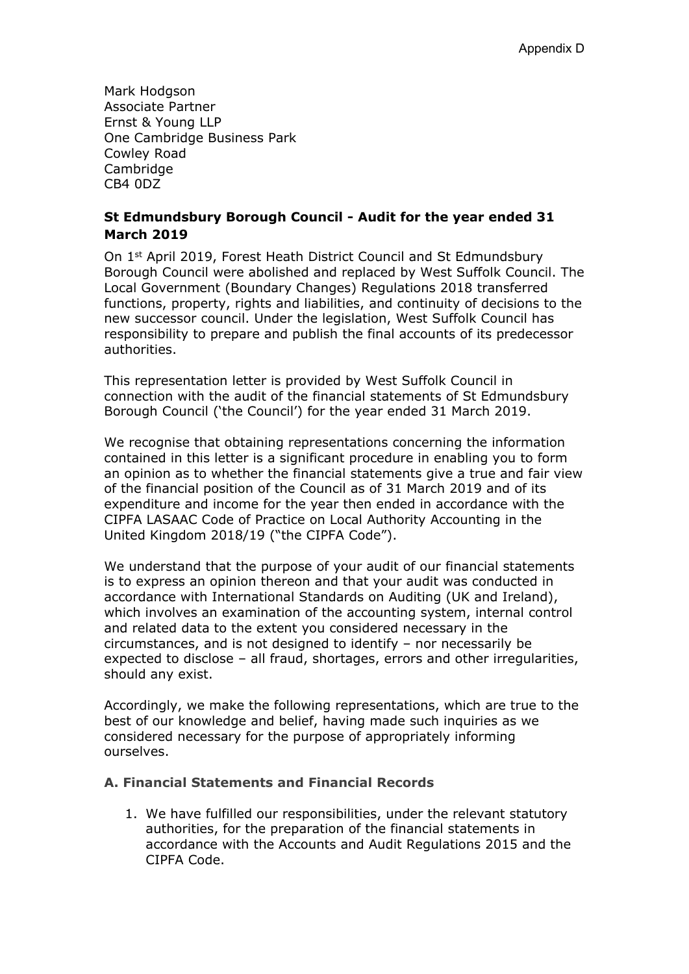Mark Hodgson Associate Partner Ernst & Young LLP One Cambridge Business Park Cowley Road Cambridge CB4 0DZ

## **St Edmundsbury Borough Council - Audit for the year ended 31 March 2019**

On 1st April 2019, Forest Heath District Council and St Edmundsbury Borough Council were abolished and replaced by West Suffolk Council. The Local Government (Boundary Changes) Regulations 2018 transferred functions, property, rights and liabilities, and continuity of decisions to the new successor council. Under the legislation, West Suffolk Council has responsibility to prepare and publish the final accounts of its predecessor authorities.

This representation letter is provided by West Suffolk Council in connection with the audit of the financial statements of St Edmundsbury Borough Council ('the Council') for the year ended 31 March 2019.

We recognise that obtaining representations concerning the information contained in this letter is a significant procedure in enabling you to form an opinion as to whether the financial statements give a true and fair view of the financial position of the Council as of 31 March 2019 and of its expenditure and income for the year then ended in accordance with the CIPFA LASAAC Code of Practice on Local Authority Accounting in the United Kingdom 2018/19 ("the CIPFA Code").

We understand that the purpose of your audit of our financial statements is to express an opinion thereon and that your audit was conducted in accordance with International Standards on Auditing (UK and Ireland), which involves an examination of the accounting system, internal control and related data to the extent you considered necessary in the circumstances, and is not designed to identify – nor necessarily be expected to disclose – all fraud, shortages, errors and other irregularities, should any exist.

Accordingly, we make the following representations, which are true to the best of our knowledge and belief, having made such inquiries as we considered necessary for the purpose of appropriately informing ourselves.

### **A. Financial Statements and Financial Records**

1. We have fulfilled our responsibilities, under the relevant statutory authorities, for the preparation of the financial statements in accordance with the Accounts and Audit Regulations 2015 and the CIPFA Code.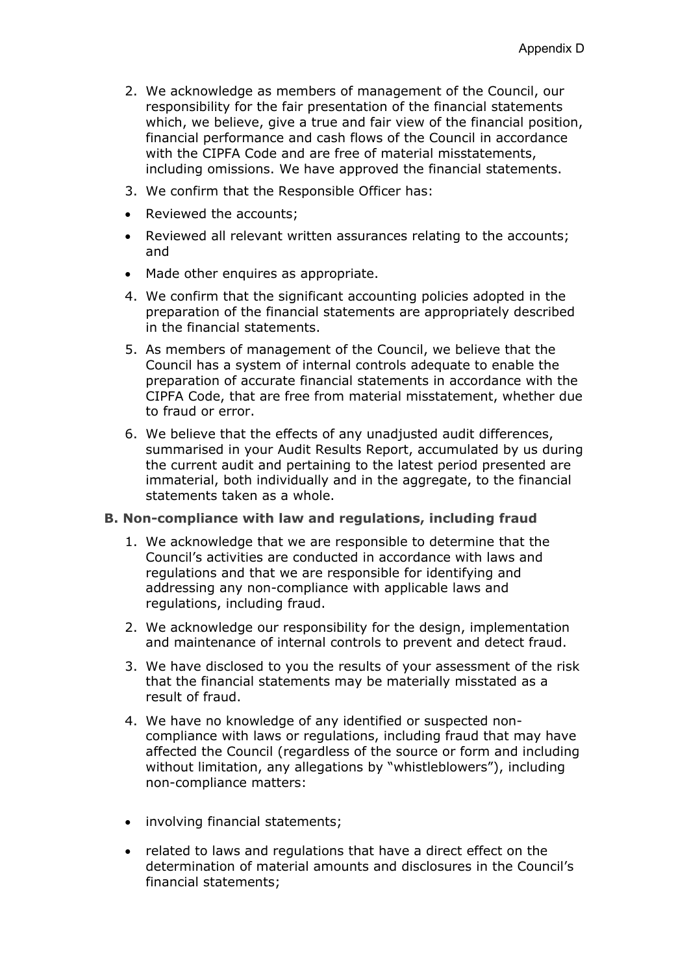- 2. We acknowledge as members of management of the Council, our responsibility for the fair presentation of the financial statements which, we believe, give a true and fair view of the financial position, financial performance and cash flows of the Council in accordance with the CIPFA Code and are free of material misstatements, including omissions. We have approved the financial statements.
- 3. We confirm that the Responsible Officer has:
- Reviewed the accounts;
- Reviewed all relevant written assurances relating to the accounts; and
- Made other enquires as appropriate.
- 4. We confirm that the significant accounting policies adopted in the preparation of the financial statements are appropriately described in the financial statements.
- 5. As members of management of the Council, we believe that the Council has a system of internal controls adequate to enable the preparation of accurate financial statements in accordance with the CIPFA Code, that are free from material misstatement, whether due to fraud or error.
- 6. We believe that the effects of any unadjusted audit differences, summarised in your Audit Results Report, accumulated by us during the current audit and pertaining to the latest period presented are immaterial, both individually and in the aggregate, to the financial statements taken as a whole.

#### **B. Non-compliance with law and regulations, including fraud**

- 1. We acknowledge that we are responsible to determine that the Council's activities are conducted in accordance with laws and regulations and that we are responsible for identifying and addressing any non-compliance with applicable laws and regulations, including fraud.
- 2. We acknowledge our responsibility for the design, implementation and maintenance of internal controls to prevent and detect fraud.
- 3. We have disclosed to you the results of your assessment of the risk that the financial statements may be materially misstated as a result of fraud.
- 4. We have no knowledge of any identified or suspected noncompliance with laws or regulations, including fraud that may have affected the Council (regardless of the source or form and including without limitation, any allegations by "whistleblowers"), including non-compliance matters:
- involving financial statements;
- related to laws and regulations that have a direct effect on the determination of material amounts and disclosures in the Council's financial statements;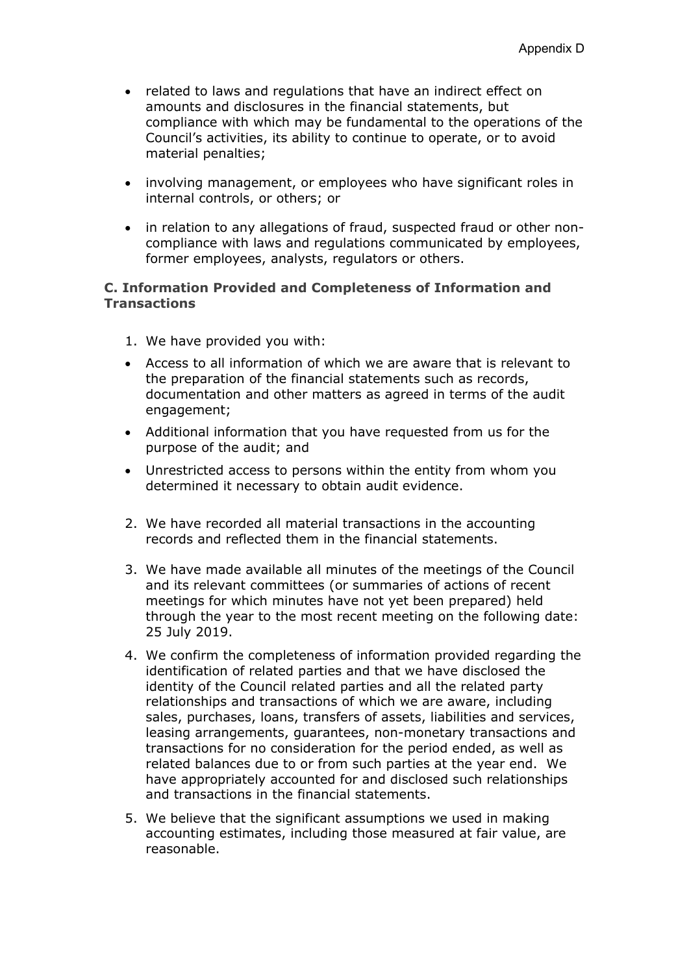- related to laws and regulations that have an indirect effect on amounts and disclosures in the financial statements, but compliance with which may be fundamental to the operations of the Council's activities, its ability to continue to operate, or to avoid material penalties;
- involving management, or employees who have significant roles in internal controls, or others; or
- in relation to any allegations of fraud, suspected fraud or other noncompliance with laws and regulations communicated by employees, former employees, analysts, regulators or others.

### **C. Information Provided and Completeness of Information and Transactions**

- 1. We have provided you with:
- Access to all information of which we are aware that is relevant to the preparation of the financial statements such as records, documentation and other matters as agreed in terms of the audit engagement;
- Additional information that you have requested from us for the purpose of the audit; and
- Unrestricted access to persons within the entity from whom you determined it necessary to obtain audit evidence.
- 2. We have recorded all material transactions in the accounting records and reflected them in the financial statements.
- 3. We have made available all minutes of the meetings of the Council and its relevant committees (or summaries of actions of recent meetings for which minutes have not yet been prepared) held through the year to the most recent meeting on the following date: 25 July 2019.
- 4. We confirm the completeness of information provided regarding the identification of related parties and that we have disclosed the identity of the Council related parties and all the related party relationships and transactions of which we are aware, including sales, purchases, loans, transfers of assets, liabilities and services, leasing arrangements, guarantees, non-monetary transactions and transactions for no consideration for the period ended, as well as related balances due to or from such parties at the year end. We have appropriately accounted for and disclosed such relationships and transactions in the financial statements.
- 5. We believe that the significant assumptions we used in making accounting estimates, including those measured at fair value, are reasonable.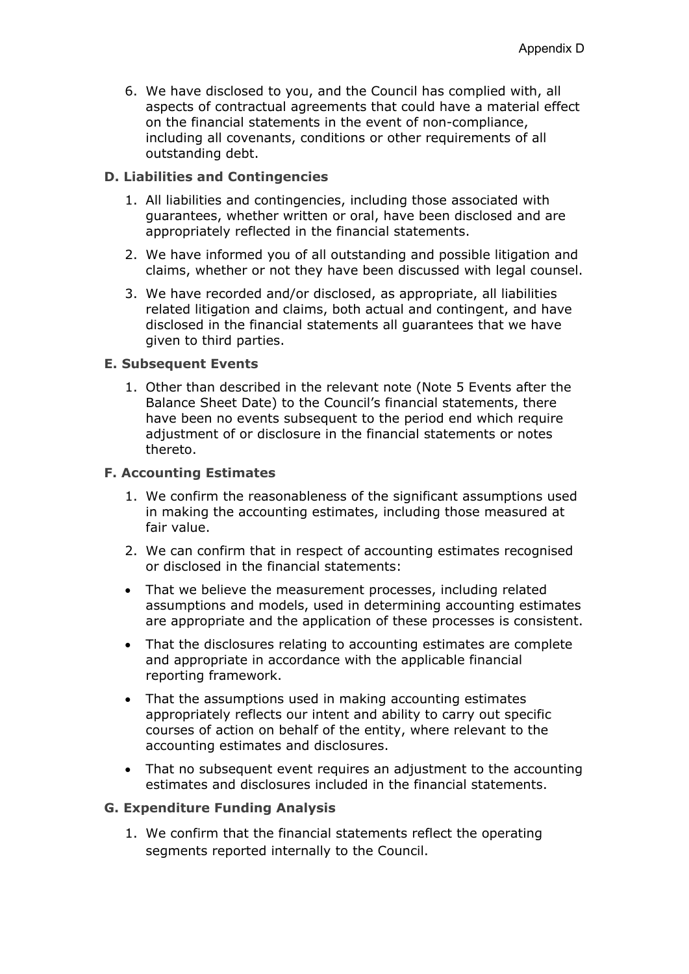6. We have disclosed to you, and the Council has complied with, all aspects of contractual agreements that could have a material effect on the financial statements in the event of non-compliance, including all covenants, conditions or other requirements of all outstanding debt.

### **D. Liabilities and Contingencies**

- 1. All liabilities and contingencies, including those associated with guarantees, whether written or oral, have been disclosed and are appropriately reflected in the financial statements.
- 2. We have informed you of all outstanding and possible litigation and claims, whether or not they have been discussed with legal counsel.
- 3. We have recorded and/or disclosed, as appropriate, all liabilities related litigation and claims, both actual and contingent, and have disclosed in the financial statements all guarantees that we have given to third parties.

#### **E. Subsequent Events**

1. Other than described in the relevant note (Note 5 Events after the Balance Sheet Date) to the Council's financial statements, there have been no events subsequent to the period end which require adjustment of or disclosure in the financial statements or notes thereto.

### **F. Accounting Estimates**

- 1. We confirm the reasonableness of the significant assumptions used in making the accounting estimates, including those measured at fair value.
- 2. We can confirm that in respect of accounting estimates recognised or disclosed in the financial statements:
- That we believe the measurement processes, including related assumptions and models, used in determining accounting estimates are appropriate and the application of these processes is consistent.
- That the disclosures relating to accounting estimates are complete and appropriate in accordance with the applicable financial reporting framework.
- That the assumptions used in making accounting estimates appropriately reflects our intent and ability to carry out specific courses of action on behalf of the entity, where relevant to the accounting estimates and disclosures.
- That no subsequent event requires an adjustment to the accounting estimates and disclosures included in the financial statements.

#### **G. Expenditure Funding Analysis**

1. We confirm that the financial statements reflect the operating segments reported internally to the Council.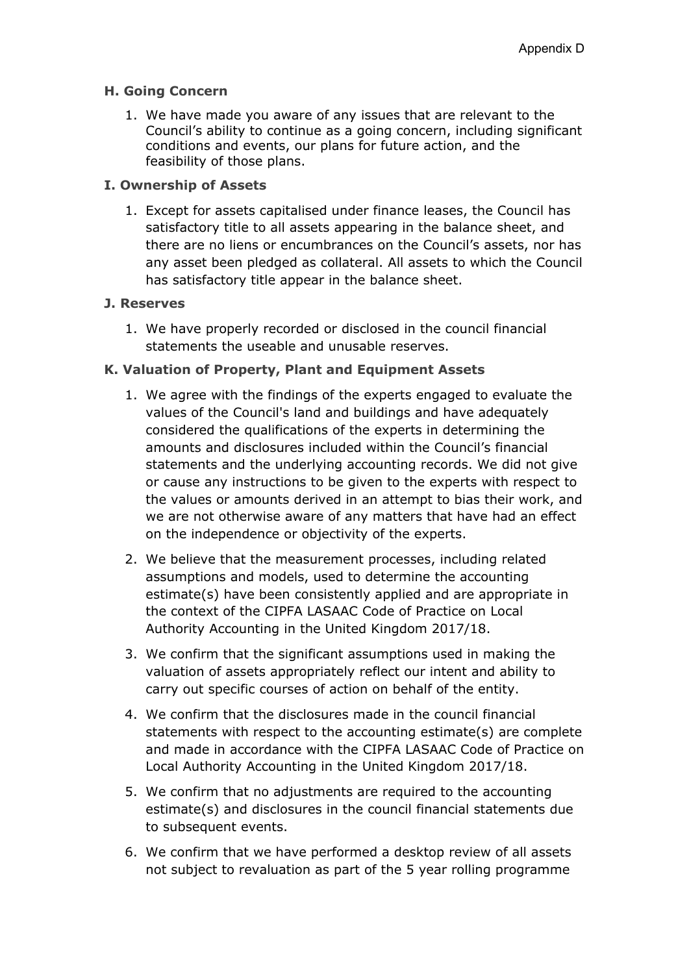## **H. Going Concern**

1. We have made you aware of any issues that are relevant to the Council's ability to continue as a going concern, including significant conditions and events, our plans for future action, and the feasibility of those plans.

## **I. Ownership of Assets**

1. Except for assets capitalised under finance leases, the Council has satisfactory title to all assets appearing in the balance sheet, and there are no liens or encumbrances on the Council's assets, nor has any asset been pledged as collateral. All assets to which the Council has satisfactory title appear in the balance sheet.

### **J. Reserves**

1. We have properly recorded or disclosed in the council financial statements the useable and unusable reserves.

## **K. Valuation of Property, Plant and Equipment Assets**

- 1. We agree with the findings of the experts engaged to evaluate the values of the Council's land and buildings and have adequately considered the qualifications of the experts in determining the amounts and disclosures included within the Council's financial statements and the underlying accounting records. We did not give or cause any instructions to be given to the experts with respect to the values or amounts derived in an attempt to bias their work, and we are not otherwise aware of any matters that have had an effect on the independence or objectivity of the experts.
- 2. We believe that the measurement processes, including related assumptions and models, used to determine the accounting estimate(s) have been consistently applied and are appropriate in the context of the CIPFA LASAAC Code of Practice on Local Authority Accounting in the United Kingdom 2017/18.
- 3. We confirm that the significant assumptions used in making the valuation of assets appropriately reflect our intent and ability to carry out specific courses of action on behalf of the entity.
- 4. We confirm that the disclosures made in the council financial statements with respect to the accounting estimate(s) are complete and made in accordance with the CIPFA LASAAC Code of Practice on Local Authority Accounting in the United Kingdom 2017/18.
- 5. We confirm that no adjustments are required to the accounting estimate(s) and disclosures in the council financial statements due to subsequent events.
- 6. We confirm that we have performed a desktop review of all assets not subject to revaluation as part of the 5 year rolling programme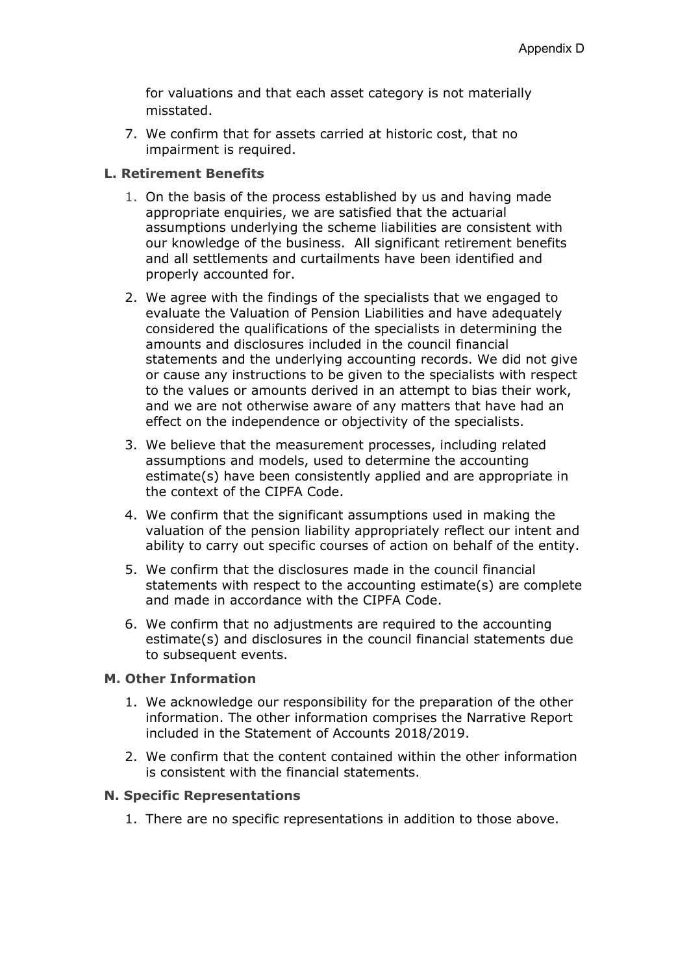for valuations and that each asset category is not materially misstated.

7. We confirm that for assets carried at historic cost, that no impairment is required.

#### **L. Retirement Benefits**

- 1. On the basis of the process established by us and having made appropriate enquiries, we are satisfied that the actuarial assumptions underlying the scheme liabilities are consistent with our knowledge of the business. All significant retirement benefits and all settlements and curtailments have been identified and properly accounted for.
- 2. We agree with the findings of the specialists that we engaged to evaluate the Valuation of Pension Liabilities and have adequately considered the qualifications of the specialists in determining the amounts and disclosures included in the council financial statements and the underlying accounting records. We did not give or cause any instructions to be given to the specialists with respect to the values or amounts derived in an attempt to bias their work, and we are not otherwise aware of any matters that have had an effect on the independence or objectivity of the specialists.
- 3. We believe that the measurement processes, including related assumptions and models, used to determine the accounting estimate(s) have been consistently applied and are appropriate in the context of the CIPFA Code.
- 4. We confirm that the significant assumptions used in making the valuation of the pension liability appropriately reflect our intent and ability to carry out specific courses of action on behalf of the entity.
- 5. We confirm that the disclosures made in the council financial statements with respect to the accounting estimate(s) are complete and made in accordance with the CIPFA Code.
- 6. We confirm that no adjustments are required to the accounting estimate(s) and disclosures in the council financial statements due to subsequent events.

#### **M. Other Information**

- 1. We acknowledge our responsibility for the preparation of the other information. The other information comprises the Narrative Report included in the Statement of Accounts 2018/2019.
- 2. We confirm that the content contained within the other information is consistent with the financial statements.

#### **N. Specific Representations**

1. There are no specific representations in addition to those above.